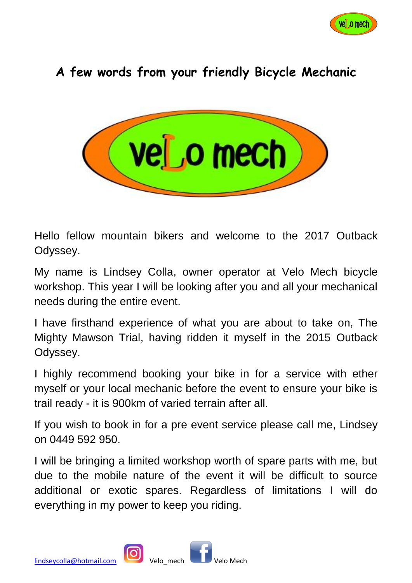

## **A few words from your friendly Bicycle Mechanic**



Hello fellow mountain bikers and welcome to the 2017 Outback Odyssey.

My name is Lindsey Colla, owner operator at Velo Mech bicycle workshop. This year I will be looking after you and all your mechanical needs during the entire event.

I have firsthand experience of what you are about to take on, The Mighty Mawson Trial, having ridden it myself in the 2015 Outback Odyssey.

I highly recommend booking your bike in for a service with ether myself or your local mechanic before the event to ensure your bike is trail ready - it is 900km of varied terrain after all.

If you wish to book in for a pre event service please call me, Lindsey on 0449 592 950.

I will be bringing a limited workshop worth of spare parts with me, but due to the mobile nature of the event it will be difficult to source additional or exotic spares. Regardless of limitations I will do everything in my power to keep you riding.



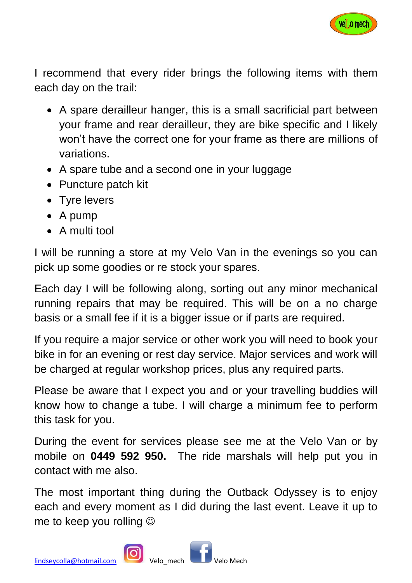

I recommend that every rider brings the following items with them each day on the trail:

- A spare derailleur hanger, this is a small sacrificial part between your frame and rear derailleur, they are bike specific and I likely won't have the correct one for your frame as there are millions of variations.
- A spare tube and a second one in your luggage
- Puncture patch kit
- Tyre levers
- A pump
- A multi tool

I will be running a store at my Velo Van in the evenings so you can pick up some goodies or re stock your spares.

Each day I will be following along, sorting out any minor mechanical running repairs that may be required. This will be on a no charge basis or a small fee if it is a bigger issue or if parts are required.

If you require a major service or other work you will need to book your bike in for an evening or rest day service. Major services and work will be charged at regular workshop prices, plus any required parts.

Please be aware that I expect you and or your travelling buddies will know how to change a tube. I will charge a minimum fee to perform this task for you.

During the event for services please see me at the Velo Van or by mobile on **0449 592 950.** The ride marshals will help put you in contact with me also.

The most important thing during the Outback Odyssey is to enjoy each and every moment as I did during the last event. Leave it up to me to keep you rolling